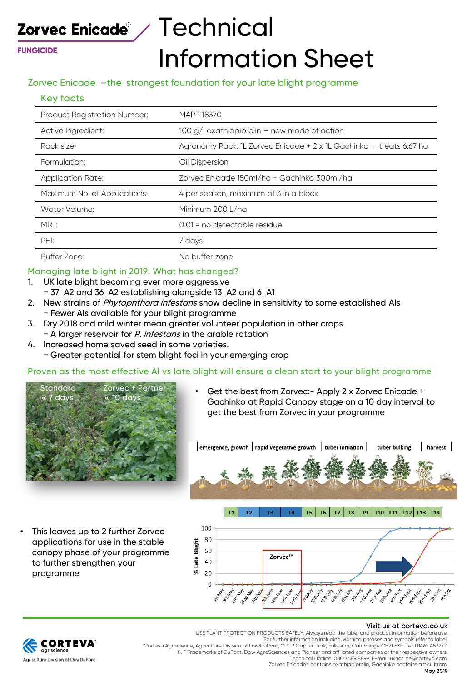**FUNGICIDE** 

# Zorvec Enicade $^{\circ}$  /  $\sf{Technical}$ Information Sheet

### Zorvec Enicade –the strongest foundation for your late blight programme

#### Key facts

| <b>Product Registration Number:</b> | MAPP 18370                                                          |
|-------------------------------------|---------------------------------------------------------------------|
| Active Ingredient:                  | 100 g/l oxathiapiprolin - new mode of action                        |
| Pack size:                          | Agronomy Pack: 1L Zorvec Enicade + 2 x 1L Gachinko - treats 6.67 ha |
| Formulation:                        | Oil Dispersion                                                      |
| <b>Application Rate:</b>            | Zorvec Enicade 150ml/ha + Gachinko 300ml/ha                         |
| Maximum No. of Applications:        | 4 per season, maximum of 3 in a block                               |
| Water Volume:                       | Minimum 200 L/ha                                                    |
| MRL:                                | 0.01 = no detectable residue                                        |
| PHI:                                | 7 days                                                              |
| Buffer Zone:                        | No buffer zone                                                      |

#### Managing late blight in 2019. What has changed?

- 1. UK late blight becoming ever more aggressive
	- − 37\_A2 and 36\_A2 establishing alongside 13\_A2 and 6\_A1
- 2. New strains of Phytophthora infestans show decline in sensitivity to some established AIs − Fewer AIs available for your blight programme
- 3. Dry 2018 and mild winter mean greater volunteer population in other crops − A larger reservoir for P. infestans in the arable rotation
- 4. Increased home saved seed in some varieties. − Greater potential for stem blight foci in your emerging crop

#### Proven as the most effective AI vs late blight will ensure a clean start to your blight programme

 $T1$ 

 $T2$ 

T3



• Get the best from Zorvec:- Apply 2 x Zorvec Enicade + Gachinko at Rapid Canopy stage on a 10 day interval to get the best from Zorvec in your programme



This leaves up to 2 further Zorvec applications for use in the stable canopy phase of your programme to further strengthen your programme



#### Visit us at corteva.co.uk USE PLANT PROTECTION PRODUCTS SAFELY. Always read the label and product information before use.



For further information including warning phrases and symbols refer to label. Corteva Agriscience, Agriculture Division of DowDuPont, CPC2 Capital Park, Fulbourn, Cambridge CB21 5XE. Tel: 01462 457272. ®, ™ Trademarks of DuPont, Dow AgroSciences and Pioneer and affiliated companies or their respective owners.

Technical Hotline: 0800 689 8899. E-mail: ukhotline@corteva.com. Zorvec Enicade® contains oxathiapiprolin, Gachinko contains amisulbrom.

T4 T5 T6 T7 T8 T9 T10 T11 T12 T13 T14